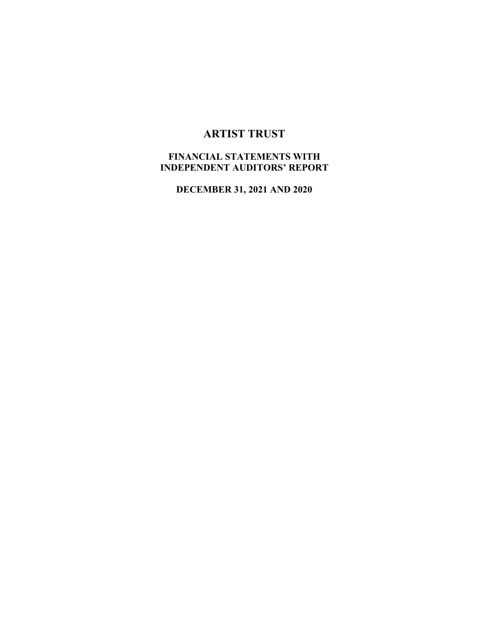# **ARTIST TRUST**

# **FINANCIAL STATEMENTS WITH INDEPENDENT AUDITORS' REPORT**

**DECEMBER 31, 2021 AND 2020**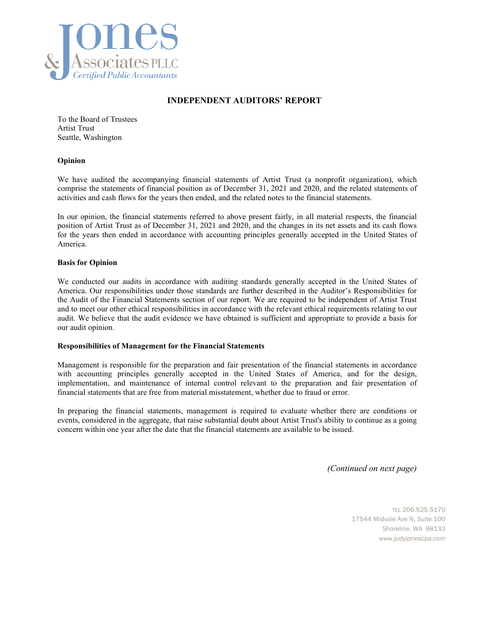

#### **INDEPENDENT AUDITORS' REPORT**

To the Board of Trustees Artist Trust Seattle, Washington

#### **Opinion**

We have audited the accompanying financial statements of Artist Trust (a nonprofit organization), which comprise the statements of financial position as of December 31, 2021 and 2020, and the related statements of activities and cash flows for the years then ended, and the related notes to the financial statements.

In our opinion, the financial statements referred to above present fairly, in all material respects, the financial position of Artist Trust as of December 31, 2021 and 2020, and the changes in its net assets and its cash flows for the years then ended in accordance with accounting principles generally accepted in the United States of America.

#### **Basis for Opinion**

We conducted our audits in accordance with auditing standards generally accepted in the United States of America. Our responsibilities under those standards are further described in the Auditor's Responsibilities for the Audit of the Financial Statements section of our report. We are required to be independent of Artist Trust and to meet our other ethical responsibilities in accordance with the relevant ethical requirements relating to our audit. We believe that the audit evidence we have obtained is sufficient and appropriate to provide a basis for our audit opinion.

#### **Responsibilities of Management for the Financial Statements**

Management is responsible for the preparation and fair presentation of the financial statements in accordance with accounting principles generally accepted in the United States of America, and for the design, implementation, and maintenance of internal control relevant to the preparation and fair presentation of financial statements that are free from material misstatement, whether due to fraud or error.

In preparing the financial statements, management is required to evaluate whether there are conditions or events, considered in the aggregate, that raise substantial doubt about Artist Trust's ability to continue as a going concern within one year after the date that the financial statements are available to be issued.

*(Continued on next page)* 

TEL 206.525.5170 17544 Midvale Ave N, Suite 100 Shoreline, WA 98133 www.judyjonescpa.com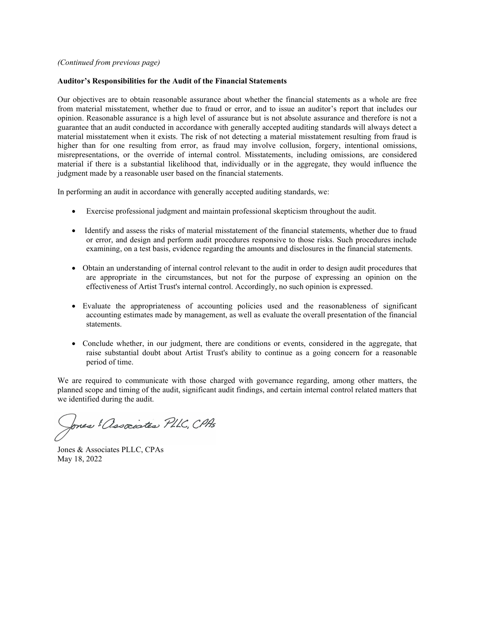#### *(Continued from previous page)*

#### **Auditor's Responsibilities for the Audit of the Financial Statements**

Our objectives are to obtain reasonable assurance about whether the financial statements as a whole are free from material misstatement, whether due to fraud or error, and to issue an auditor's report that includes our opinion. Reasonable assurance is a high level of assurance but is not absolute assurance and therefore is not a guarantee that an audit conducted in accordance with generally accepted auditing standards will always detect a material misstatement when it exists. The risk of not detecting a material misstatement resulting from fraud is higher than for one resulting from error, as fraud may involve collusion, forgery, intentional omissions, misrepresentations, or the override of internal control. Misstatements, including omissions, are considered material if there is a substantial likelihood that, individually or in the aggregate, they would influence the judgment made by a reasonable user based on the financial statements.

In performing an audit in accordance with generally accepted auditing standards, we:

- Exercise professional judgment and maintain professional skepticism throughout the audit.
- Identify and assess the risks of material misstatement of the financial statements, whether due to fraud or error, and design and perform audit procedures responsive to those risks. Such procedures include examining, on a test basis, evidence regarding the amounts and disclosures in the financial statements.
- Obtain an understanding of internal control relevant to the audit in order to design audit procedures that are appropriate in the circumstances, but not for the purpose of expressing an opinion on the effectiveness of Artist Trust's internal control. Accordingly, no such opinion is expressed.
- Evaluate the appropriateness of accounting policies used and the reasonableness of significant accounting estimates made by management, as well as evaluate the overall presentation of the financial statements.
- Conclude whether, in our judgment, there are conditions or events, considered in the aggregate, that raise substantial doubt about Artist Trust's ability to continue as a going concern for a reasonable period of time.

We are required to communicate with those charged with governance regarding, among other matters, the planned scope and timing of the audit, significant audit findings, and certain internal control related matters that we identified during the audit.

Jones ! Associates PLLC, CPAs

Jones & Associates PLLC, CPAs May 18, 2022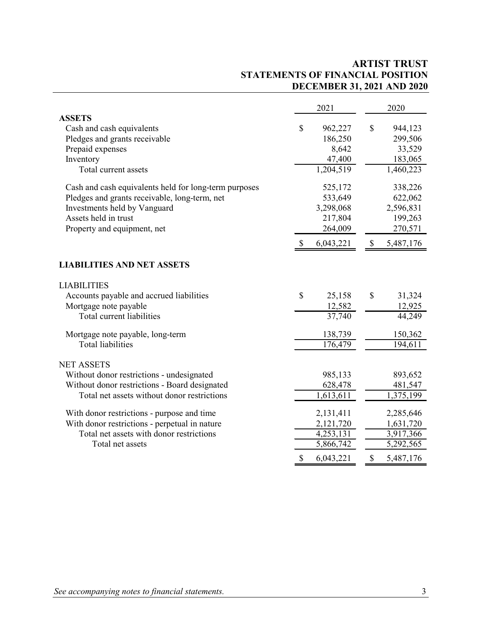## **ARTIST TRUST STATEMENTS OF FINANCIAL POSITION DECEMBER 31, 2021 AND 2020**

|                                                       |                           | 2021                |              | 2020      |
|-------------------------------------------------------|---------------------------|---------------------|--------------|-----------|
| <b>ASSETS</b>                                         |                           |                     |              |           |
| Cash and cash equivalents                             | \$                        | 962,227             | \$           | 944,123   |
| Pledges and grants receivable                         |                           | 186,250             |              | 299,506   |
| Prepaid expenses                                      |                           | 8,642               |              | 33,529    |
| Inventory                                             |                           | 47,400              |              | 183,065   |
| Total current assets                                  |                           | 1,204,519           |              | 1,460,223 |
| Cash and cash equivalents held for long-term purposes |                           | 525,172             |              | 338,226   |
| Pledges and grants receivable, long-term, net         |                           | 533,649             |              | 622,062   |
| Investments held by Vanguard                          |                           | 3,298,068           |              | 2,596,831 |
| Assets held in trust                                  |                           | 217,804             |              | 199,263   |
| Property and equipment, net                           |                           | 264,009             |              | 270,571   |
|                                                       | $\mathbb{S}$              | 6,043,221           | $\mathbb{S}$ | 5,487,176 |
| <b>LIABILITIES AND NET ASSETS</b>                     |                           |                     |              |           |
| <b>LIABILITIES</b>                                    |                           |                     |              |           |
| Accounts payable and accrued liabilities              | \$                        | 25,158              | $\mathbb{S}$ | 31,324    |
| Mortgage note payable                                 |                           | 12,582              |              | 12,925    |
| Total current liabilities                             |                           | $\overline{37,740}$ |              | 44,249    |
| Mortgage note payable, long-term                      |                           | 138,739             |              | 150,362   |
| <b>Total liabilities</b>                              |                           | 176,479             |              | 194,611   |
| <b>NET ASSETS</b>                                     |                           |                     |              |           |
| Without donor restrictions - undesignated             |                           | 985,133             |              | 893,652   |
| Without donor restrictions - Board designated         |                           | 628,478             |              | 481,547   |
| Total net assets without donor restrictions           |                           | 1,613,611           |              | 1,375,199 |
| With donor restrictions - purpose and time            |                           | 2,131,411           |              | 2,285,646 |
| With donor restrictions - perpetual in nature         |                           | 2,121,720           |              | 1,631,720 |
| Total net assets with donor restrictions              |                           | 4,253,131           |              | 3,917,366 |
| Total net assets                                      |                           | 5,866,742           |              | 5,292,565 |
|                                                       | $\boldsymbol{\mathsf{S}}$ | 6,043,221           | \$           | 5,487,176 |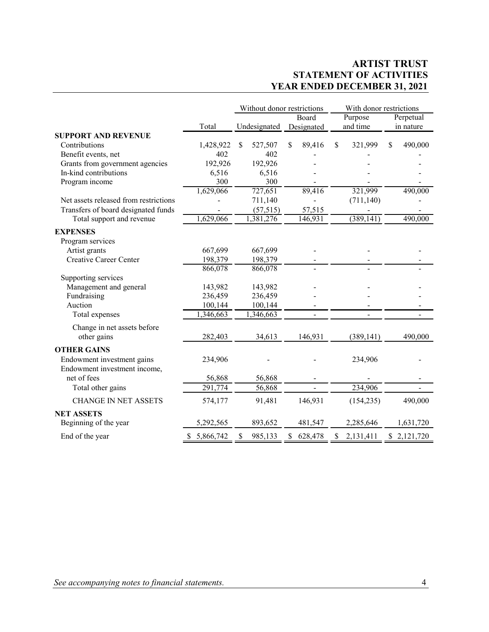## **ARTIST TRUST STATEMENT OF ACTIVITIES YEAR ENDED DECEMBER 31, 2021**

|                                       |                 | Without donor restrictions |                          | With donor restrictions |               |  |  |
|---------------------------------------|-----------------|----------------------------|--------------------------|-------------------------|---------------|--|--|
|                                       |                 |                            | Board                    | Purpose                 | Perpetual     |  |  |
|                                       | Total           | Undesignated               | Designated               | and time                | in nature     |  |  |
| <b>SUPPORT AND REVENUE</b>            |                 |                            |                          |                         |               |  |  |
| Contributions                         | 1,428,922       | 527,507<br>\$              | \$<br>89,416             | \$<br>321,999           | \$<br>490,000 |  |  |
| Benefit events, net                   | 402             | 402                        |                          |                         |               |  |  |
| Grants from government agencies       | 192,926         | 192,926                    |                          |                         |               |  |  |
| In-kind contributions                 | 6,516           | 6,516                      |                          |                         |               |  |  |
| Program income                        | 300             | 300                        |                          |                         |               |  |  |
|                                       | 1,629,066       | 727,651                    | 89,416                   | 321,999                 | 490,000       |  |  |
| Net assets released from restrictions |                 | 711,140                    |                          | (711, 140)              |               |  |  |
| Transfers of board designated funds   |                 | (57, 515)                  | 57,515                   |                         |               |  |  |
| Total support and revenue             | 1,629,066       | $\overline{1,381},276$     | 146,931                  | (389, 141)              | 490,000       |  |  |
| <b>EXPENSES</b>                       |                 |                            |                          |                         |               |  |  |
| Program services                      |                 |                            |                          |                         |               |  |  |
| Artist grants                         | 667,699         | 667,699                    |                          |                         |               |  |  |
| <b>Creative Career Center</b>         | 198,379         | 198,379                    |                          |                         |               |  |  |
|                                       | 866,078         | 866,078                    |                          |                         |               |  |  |
| Supporting services                   |                 |                            |                          |                         |               |  |  |
| Management and general                | 143,982         | 143,982                    |                          |                         |               |  |  |
| Fundraising                           | 236,459         | 236,459                    |                          |                         |               |  |  |
| Auction                               | 100,144         | 100,144                    |                          |                         |               |  |  |
| Total expenses                        | 1,346,663       | 1,346,663                  |                          |                         |               |  |  |
| Change in net assets before           |                 |                            |                          |                         |               |  |  |
| other gains                           | 282,403         | 34,613                     | 146,931                  | (389, 141)              | 490,000       |  |  |
| <b>OTHER GAINS</b>                    |                 |                            |                          |                         |               |  |  |
| Endowment investment gains            | 234,906         |                            |                          | 234,906                 |               |  |  |
| Endowment investment income,          |                 |                            |                          |                         |               |  |  |
| net of fees                           | 56,868          | 56,868                     | $\overline{\phantom{a}}$ |                         |               |  |  |
| Total other gains                     | 291,774         | 56,868                     |                          | 234,906                 |               |  |  |
|                                       |                 |                            |                          |                         |               |  |  |
| <b>CHANGE IN NET ASSETS</b>           | 574,177         | 91,481                     | 146,931                  | (154, 235)              | 490,000       |  |  |
| <b>NET ASSETS</b>                     |                 |                            |                          |                         |               |  |  |
| Beginning of the year                 | 5,292,565       | 893,652                    | 481,547                  | 2,285,646               | 1,631,720     |  |  |
| End of the year                       | 5,866,742<br>\$ | 985,133<br>\$              | 628,478<br>\$            | 2,131,411<br>\$         | \$2,121,720   |  |  |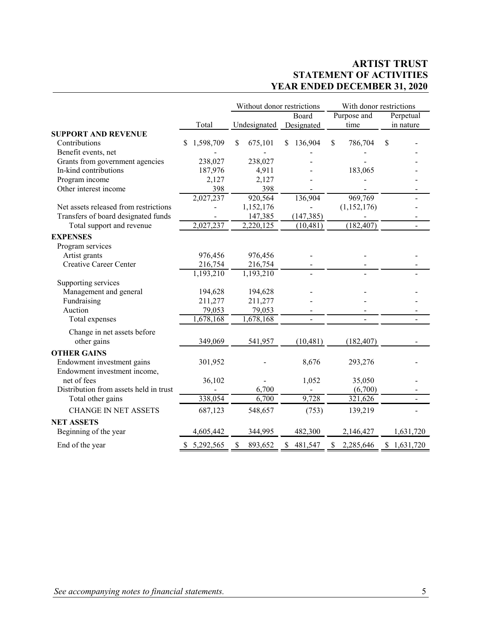# **ARTIST TRUST STATEMENT OF ACTIVITIES YEAR ENDED DECEMBER 31, 2020**

| Purpose and<br>Board<br>Undesignated<br>time<br>Total<br>Designated<br><b>SUPPORT AND REVENUE</b><br>Contributions<br>1,598,709<br>136,904<br>$\mathbb{S}$<br>675,101<br>S.<br>786,704<br>\$<br>S<br>S<br>Benefit events, net | Perpetual<br>in nature       |
|-------------------------------------------------------------------------------------------------------------------------------------------------------------------------------------------------------------------------------|------------------------------|
|                                                                                                                                                                                                                               |                              |
|                                                                                                                                                                                                                               |                              |
|                                                                                                                                                                                                                               |                              |
|                                                                                                                                                                                                                               |                              |
|                                                                                                                                                                                                                               |                              |
| 238,027<br>238,027<br>Grants from government agencies                                                                                                                                                                         |                              |
| In-kind contributions<br>187,976<br>4,911<br>183,065                                                                                                                                                                          |                              |
| Program income<br>2,127<br>2,127                                                                                                                                                                                              |                              |
| 398<br>Other interest income<br>398                                                                                                                                                                                           |                              |
| 969,769<br>2,027,237<br>920,564<br>136,904                                                                                                                                                                                    |                              |
| 1,152,176<br>Net assets released from restrictions<br>(1,152,176)                                                                                                                                                             |                              |
| Transfers of board designated funds<br>147,385<br>(147, 385)                                                                                                                                                                  |                              |
| 2,027,237<br>(182, 407)<br>Total support and revenue<br>2,220,125<br>(10, 481)                                                                                                                                                | ÷.                           |
| <b>EXPENSES</b>                                                                                                                                                                                                               |                              |
| Program services                                                                                                                                                                                                              |                              |
| 976,456<br>Artist grants<br>976,456                                                                                                                                                                                           |                              |
| <b>Creative Career Center</b><br>216,754<br>216,754                                                                                                                                                                           |                              |
| 1,193,210<br>1,193,210                                                                                                                                                                                                        |                              |
| Supporting services                                                                                                                                                                                                           |                              |
| Management and general<br>194,628<br>194,628                                                                                                                                                                                  |                              |
| Fundraising<br>211,277<br>211,277                                                                                                                                                                                             |                              |
| Auction<br>79,053<br>79,053                                                                                                                                                                                                   |                              |
| 1,678,168<br>1,678,168<br>Total expenses<br>$\overline{a}$<br>$\blacksquare$                                                                                                                                                  | $\blacksquare$               |
| Change in net assets before                                                                                                                                                                                                   |                              |
| other gains<br>349,069<br>541,957<br>(10, 481)<br>(182, 407)                                                                                                                                                                  |                              |
| <b>OTHER GAINS</b>                                                                                                                                                                                                            |                              |
| Endowment investment gains<br>8,676<br>301,952<br>293,276                                                                                                                                                                     |                              |
| Endowment investment income,                                                                                                                                                                                                  |                              |
| net of fees<br>36,102<br>1,052<br>35,050                                                                                                                                                                                      |                              |
| Distribution from assets held in trust<br>6,700<br>(6,700)                                                                                                                                                                    |                              |
| Total other gains<br>338,054<br>6,700<br>9,728<br>321,626                                                                                                                                                                     | $\qquad \qquad \blacksquare$ |
| <b>CHANGE IN NET ASSETS</b><br>687,123<br>(753)<br>548,657<br>139,219                                                                                                                                                         |                              |
| <b>NET ASSETS</b>                                                                                                                                                                                                             |                              |
| Beginning of the year<br>482,300<br>4,605,442<br>344,995<br>2,146,427                                                                                                                                                         | 1,631,720                    |
| \$5,292,565<br>893,652<br>481,547<br>2,285,646<br>End of the year<br>\$<br>\$<br>\$                                                                                                                                           | \$1,631,720                  |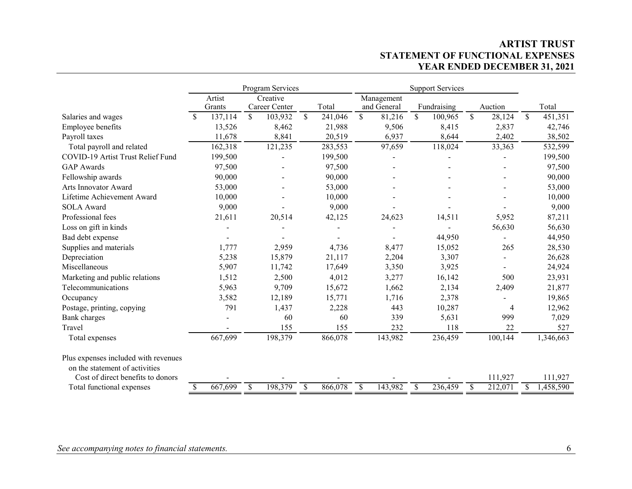## **ARTIST TRUST STATEMENT OF FUNCTIONAL EXPENSES YEAR ENDED DECEMBER 31, 2021**

|                                      |               |         | Program Services |               |         | <b>Support Services</b> |             |               |             |              |         |    |           |
|--------------------------------------|---------------|---------|------------------|---------------|---------|-------------------------|-------------|---------------|-------------|--------------|---------|----|-----------|
|                                      |               | Artist  | Creative         |               |         |                         | Management  |               |             |              |         |    |           |
|                                      |               | Grants  | Career Center    |               | Total   |                         | and General |               | Fundraising |              | Auction |    | Total     |
| Salaries and wages                   | <sup>\$</sup> | 137,114 | \$<br>103,932    | $\mathsf{\$}$ | 241,046 | \$                      | 81,216      | $\mathcal{S}$ | 100,965     | $\mathbb{S}$ | 28,124  | \$ | 451,351   |
| Employee benefits                    |               | 13,526  | 8,462            |               | 21,988  |                         | 9,506       |               | 8,415       |              | 2,837   |    | 42,746    |
| Payroll taxes                        |               | 11,678  | 8,841            |               | 20,519  |                         | 6,937       |               | 8,644       |              | 2,402   |    | 38,502    |
| Total payroll and related            |               | 162,318 | 121,235          |               | 283,553 |                         | 97,659      |               | 118,024     |              | 33,363  |    | 532,599   |
| COVID-19 Artist Trust Relief Fund    |               | 199,500 |                  |               | 199,500 |                         |             |               |             |              |         |    | 199,500   |
| <b>GAP</b> Awards                    |               | 97,500  |                  |               | 97,500  |                         |             |               |             |              |         |    | 97,500    |
| Fellowship awards                    |               | 90,000  |                  |               | 90,000  |                         |             |               |             |              |         |    | 90,000    |
| Arts Innovator Award                 |               | 53,000  |                  |               | 53,000  |                         |             |               |             |              |         |    | 53,000    |
| Lifetime Achievement Award           |               | 10,000  |                  |               | 10,000  |                         |             |               |             |              |         |    | 10,000    |
| <b>SOLA Award</b>                    |               | 9,000   |                  |               | 9,000   |                         |             |               |             |              |         |    | 9,000     |
| Professional fees                    |               | 21,611  | 20,514           |               | 42,125  |                         | 24,623      |               | 14,511      |              | 5,952   |    | 87,211    |
| Loss on gift in kinds                |               |         |                  |               |         |                         |             |               |             |              | 56,630  |    | 56,630    |
| Bad debt expense                     |               |         |                  |               |         |                         |             |               | 44,950      |              |         |    | 44,950    |
| Supplies and materials               |               | 1,777   | 2,959            |               | 4,736   |                         | 8,477       |               | 15,052      |              | 265     |    | 28,530    |
| Depreciation                         |               | 5,238   | 15,879           |               | 21,117  |                         | 2,204       |               | 3,307       |              |         |    | 26,628    |
| Miscellaneous                        |               | 5,907   | 11,742           |               | 17,649  |                         | 3,350       |               | 3,925       |              |         |    | 24,924    |
| Marketing and public relations       |               | 1,512   | 2,500            |               | 4,012   |                         | 3,277       |               | 16,142      |              | 500     |    | 23,931    |
| Telecommunications                   |               | 5,963   | 9,709            |               | 15,672  |                         | 1,662       |               | 2,134       |              | 2,409   |    | 21,877    |
| Occupancy                            |               | 3,582   | 12,189           |               | 15,771  |                         | 1,716       |               | 2,378       |              |         |    | 19,865    |
| Postage, printing, copying           |               | 791     | 1,437            |               | 2,228   |                         | 443         |               | 10,287      |              | 4       |    | 12,962    |
| <b>Bank</b> charges                  |               |         | 60               |               | 60      |                         | 339         |               | 5,631       |              | 999     |    | 7,029     |
| Travel                               |               |         | 155              |               | 155     |                         | 232         |               | 118         |              | 22      |    | 527       |
| Total expenses                       |               | 667,699 | 198,379          |               | 866,078 |                         | 143,982     |               | 236,459     |              | 100,144 |    | 1,346,663 |
| Plus expenses included with revenues |               |         |                  |               |         |                         |             |               |             |              |         |    |           |
| on the statement of activities       |               |         |                  |               |         |                         |             |               |             |              |         |    |           |
| Cost of direct benefits to donors    |               |         |                  |               |         |                         |             |               |             |              | 111,927 |    | 111,927   |
| Total functional expenses            | \$            | 667,699 | \$<br>198,379    | \$            | 866,078 | \$                      | 143,982     | <sup>S</sup>  | 236,459     | \$           | 212,071 |    | 1,458,590 |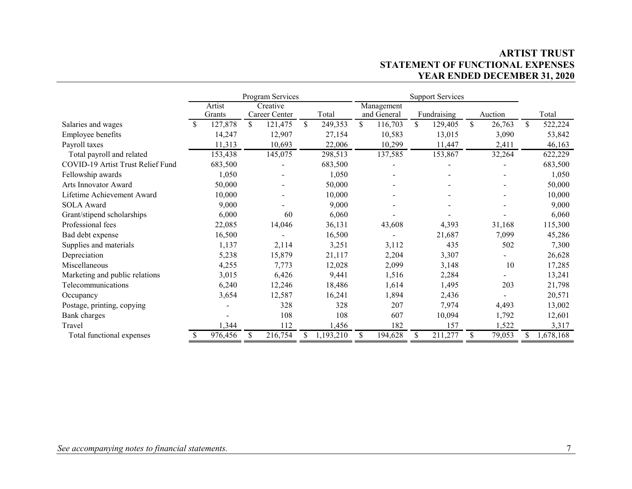# **ARTIST TRUST STATEMENT OF FUNCTIONAL EXPENSES YEAR ENDED DECEMBER 31, 2020**

|                                   |                  |    | Program Services          |               | <b>Support Services</b> |                           |    |             |              |               |
|-----------------------------------|------------------|----|---------------------------|---------------|-------------------------|---------------------------|----|-------------|--------------|---------------|
|                                   | Artist<br>Grants |    | Creative<br>Career Center | Total         |                         | Management<br>and General |    | Fundraising | Auction      | Total         |
| Salaries and wages                | \$<br>127,878    | \$ | 121,475                   | \$<br>249,353 | \$                      | 116,703                   | \$ | 129,405     | \$<br>26,763 | \$<br>522,224 |
| Employee benefits                 | 14,247           |    | 12,907                    | 27,154        |                         | 10,583                    |    | 13,015      | 3,090        | 53,842        |
| Payroll taxes                     | 11,313           |    | 10,693                    | 22,006        |                         | 10,299                    |    | 11,447      | 2,411        | 46,163        |
| Total payroll and related         | 153,438          |    | 145,075                   | 298,513       |                         | 137,585                   |    | 153,867     | 32,264       | 622,229       |
| COVID-19 Artist Trust Relief Fund | 683,500          |    |                           | 683,500       |                         |                           |    |             |              | 683,500       |
| Fellowship awards                 | 1,050            |    | -                         | 1,050         |                         |                           |    |             |              | 1,050         |
| Arts Innovator Award              | 50,000           |    |                           | 50,000        |                         |                           |    |             |              | 50,000        |
| Lifetime Achievement Award        | 10,000           |    |                           | 10,000        |                         |                           |    |             |              | 10,000        |
| <b>SOLA</b> Award                 | 9,000            |    |                           | 9,000         |                         |                           |    |             |              | 9,000         |
| Grant/stipend scholarships        | 6,000            |    | 60                        | 6,060         |                         |                           |    |             |              | 6,060         |
| Professional fees                 | 22,085           |    | 14,046                    | 36,131        |                         | 43,608                    |    | 4,393       | 31,168       | 115,300       |
| Bad debt expense                  | 16,500           |    |                           | 16,500        |                         |                           |    | 21,687      | 7,099        | 45,286        |
| Supplies and materials            | 1,137            |    | 2,114                     | 3,251         |                         | 3,112                     |    | 435         | 502          | 7,300         |
| Depreciation                      | 5,238            |    | 15,879                    | 21,117        |                         | 2,204                     |    | 3,307       |              | 26,628        |
| Miscellaneous                     | 4,255            |    | 7,773                     | 12,028        |                         | 2,099                     |    | 3,148       | 10           | 17,285        |
| Marketing and public relations    | 3,015            |    | 6,426                     | 9,441         |                         | 1,516                     |    | 2,284       |              | 13,241        |
| Telecommunications                | 6,240            |    | 12,246                    | 18,486        |                         | 1,614                     |    | 1,495       | 203          | 21,798        |
| Occupancy                         | 3,654            |    | 12,587                    | 16,241        |                         | 1,894                     |    | 2,436       |              | 20,571        |
| Postage, printing, copying        |                  |    | 328                       | 328           |                         | 207                       |    | 7,974       | 4,493        | 13,002        |
| Bank charges                      |                  |    | 108                       | 108           |                         | 607                       |    | 10,094      | 1,792        | 12,601        |
| Travel                            | 1,344            |    | 112                       | 1,456         |                         | 182                       |    | 157         | 1,522        | 3,317         |
| Total functional expenses         | 976,456          | S. | 216,754                   | 1,193,210     | \$                      | 194,628                   |    | 211,277     | \$<br>79,053 | 1,678,168     |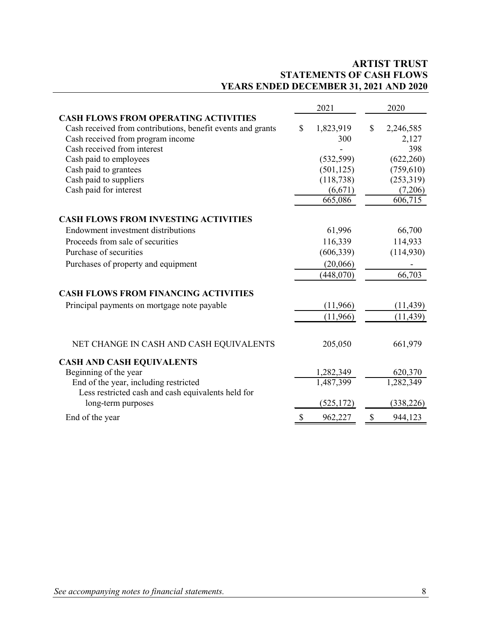# **ARTIST TRUST STATEMENTS OF CASH FLOWS YEARS ENDED DECEMBER 31, 2021 AND 2020**

|                                                                                          | 2021                                 | 2020       |  |  |
|------------------------------------------------------------------------------------------|--------------------------------------|------------|--|--|
| <b>CASH FLOWS FROM OPERATING ACTIVITIES</b>                                              |                                      |            |  |  |
| Cash received from contributions, benefit events and grants<br>$\boldsymbol{\mathsf{S}}$ | 1,823,919<br>$\mathbb{S}$            | 2,246,585  |  |  |
| Cash received from program income                                                        | 300                                  | 2,127      |  |  |
| Cash received from interest                                                              |                                      | 398        |  |  |
| Cash paid to employees                                                                   | (532, 599)                           | (622,260)  |  |  |
| Cash paid to grantees                                                                    | (501, 125)                           | (759, 610) |  |  |
| Cash paid to suppliers                                                                   | (118, 738)                           | (253,319)  |  |  |
| Cash paid for interest                                                                   | (6,671)                              | (7,206)    |  |  |
|                                                                                          | 665,086                              | 606,715    |  |  |
| <b>CASH FLOWS FROM INVESTING ACTIVITIES</b>                                              |                                      |            |  |  |
| Endowment investment distributions                                                       | 61,996                               | 66,700     |  |  |
| Proceeds from sale of securities                                                         | 116,339                              | 114,933    |  |  |
| Purchase of securities                                                                   | (606, 339)                           | (114,930)  |  |  |
| Purchases of property and equipment                                                      | (20,066)                             |            |  |  |
|                                                                                          | (448,070)                            | 66,703     |  |  |
| <b>CASH FLOWS FROM FINANCING ACTIVITIES</b>                                              |                                      |            |  |  |
| Principal payments on mortgage note payable                                              | (11,966)                             | (11, 439)  |  |  |
|                                                                                          | (11,966)                             | (11, 439)  |  |  |
| NET CHANGE IN CASH AND CASH EQUIVALENTS                                                  | 205,050                              | 661,979    |  |  |
| <b>CASH AND CASH EQUIVALENTS</b>                                                         |                                      |            |  |  |
| Beginning of the year                                                                    | 1,282,349                            | 620,370    |  |  |
| End of the year, including restricted                                                    | 1,487,399                            | 1,282,349  |  |  |
| Less restricted cash and cash equivalents held for                                       |                                      |            |  |  |
| long-term purposes                                                                       | (525, 172)                           | (338, 226) |  |  |
| \$<br>End of the year                                                                    | $\boldsymbol{\mathsf{S}}$<br>962,227 | 944,123    |  |  |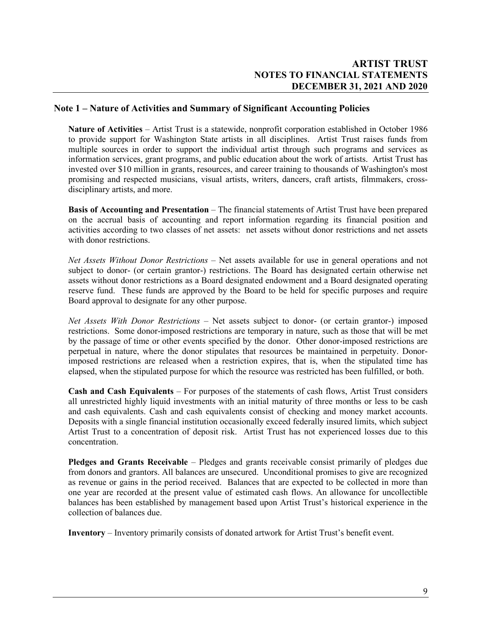#### **Note 1 – Nature of Activities and Summary of Significant Accounting Policies**

**Nature of Activities** – Artist Trust is a statewide, nonprofit corporation established in October 1986 to provide support for Washington State artists in all disciplines. Artist Trust raises funds from multiple sources in order to support the individual artist through such programs and services as information services, grant programs, and public education about the work of artists. Artist Trust has invested over \$10 million in grants, resources, and career training to thousands of Washington's most promising and respected musicians, visual artists, writers, dancers, craft artists, filmmakers, crossdisciplinary artists, and more.

**Basis of Accounting and Presentation** – The financial statements of Artist Trust have been prepared on the accrual basis of accounting and report information regarding its financial position and activities according to two classes of net assets: net assets without donor restrictions and net assets with donor restrictions.

*Net Assets Without Donor Restrictions* – Net assets available for use in general operations and not subject to donor- (or certain grantor-) restrictions. The Board has designated certain otherwise net assets without donor restrictions as a Board designated endowment and a Board designated operating reserve fund. These funds are approved by the Board to be held for specific purposes and require Board approval to designate for any other purpose.

*Net Assets With Donor Restrictions* – Net assets subject to donor- (or certain grantor-) imposed restrictions. Some donor-imposed restrictions are temporary in nature, such as those that will be met by the passage of time or other events specified by the donor. Other donor-imposed restrictions are perpetual in nature, where the donor stipulates that resources be maintained in perpetuity. Donorimposed restrictions are released when a restriction expires, that is, when the stipulated time has elapsed, when the stipulated purpose for which the resource was restricted has been fulfilled, or both.

**Cash and Cash Equivalents** – For purposes of the statements of cash flows, Artist Trust considers all unrestricted highly liquid investments with an initial maturity of three months or less to be cash and cash equivalents. Cash and cash equivalents consist of checking and money market accounts. Deposits with a single financial institution occasionally exceed federally insured limits, which subject Artist Trust to a concentration of deposit risk. Artist Trust has not experienced losses due to this concentration.

**Pledges and Grants Receivable** – Pledges and grants receivable consist primarily of pledges due from donors and grantors. All balances are unsecured. Unconditional promises to give are recognized as revenue or gains in the period received. Balances that are expected to be collected in more than one year are recorded at the present value of estimated cash flows. An allowance for uncollectible balances has been established by management based upon Artist Trust's historical experience in the collection of balances due.

**Inventory** – Inventory primarily consists of donated artwork for Artist Trust's benefit event.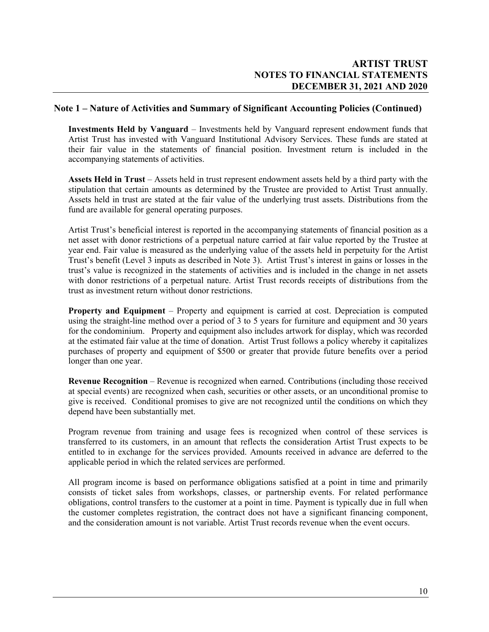#### **Note 1 – Nature of Activities and Summary of Significant Accounting Policies (Continued)**

**Investments Held by Vanguard** – Investments held by Vanguard represent endowment funds that Artist Trust has invested with Vanguard Institutional Advisory Services. These funds are stated at their fair value in the statements of financial position. Investment return is included in the accompanying statements of activities.

**Assets Held in Trust** – Assets held in trust represent endowment assets held by a third party with the stipulation that certain amounts as determined by the Trustee are provided to Artist Trust annually. Assets held in trust are stated at the fair value of the underlying trust assets. Distributions from the fund are available for general operating purposes.

Artist Trust's beneficial interest is reported in the accompanying statements of financial position as a net asset with donor restrictions of a perpetual nature carried at fair value reported by the Trustee at year end. Fair value is measured as the underlying value of the assets held in perpetuity for the Artist Trust's benefit (Level 3 inputs as described in Note 3). Artist Trust's interest in gains or losses in the trust's value is recognized in the statements of activities and is included in the change in net assets with donor restrictions of a perpetual nature. Artist Trust records receipts of distributions from the trust as investment return without donor restrictions.

**Property and Equipment** – Property and equipment is carried at cost. Depreciation is computed using the straight-line method over a period of 3 to 5 years for furniture and equipment and 30 years for the condominium. Property and equipment also includes artwork for display, which was recorded at the estimated fair value at the time of donation. Artist Trust follows a policy whereby it capitalizes purchases of property and equipment of \$500 or greater that provide future benefits over a period longer than one year.

**Revenue Recognition** – Revenue is recognized when earned. Contributions (including those received at special events) are recognized when cash, securities or other assets, or an unconditional promise to give is received. Conditional promises to give are not recognized until the conditions on which they depend have been substantially met.

Program revenue from training and usage fees is recognized when control of these services is transferred to its customers, in an amount that reflects the consideration Artist Trust expects to be entitled to in exchange for the services provided. Amounts received in advance are deferred to the applicable period in which the related services are performed.

All program income is based on performance obligations satisfied at a point in time and primarily consists of ticket sales from workshops, classes, or partnership events. For related performance obligations, control transfers to the customer at a point in time. Payment is typically due in full when the customer completes registration, the contract does not have a significant financing component, and the consideration amount is not variable. Artist Trust records revenue when the event occurs.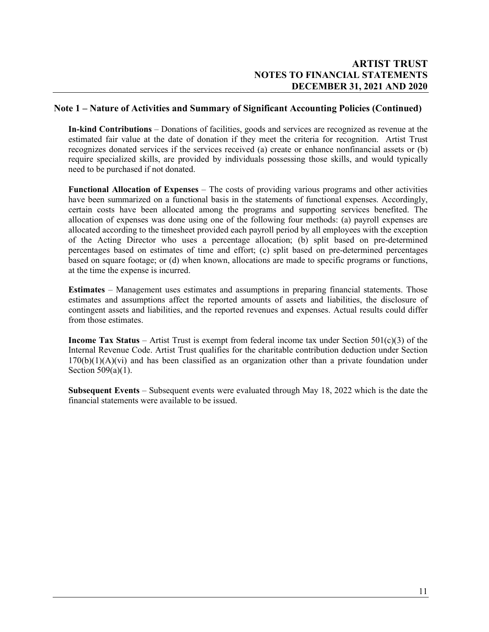### **Note 1 – Nature of Activities and Summary of Significant Accounting Policies (Continued)**

**In-kind Contributions** – Donations of facilities, goods and services are recognized as revenue at the estimated fair value at the date of donation if they meet the criteria for recognition. Artist Trust recognizes donated services if the services received (a) create or enhance nonfinancial assets or (b) require specialized skills, are provided by individuals possessing those skills, and would typically need to be purchased if not donated.

**Functional Allocation of Expenses** – The costs of providing various programs and other activities have been summarized on a functional basis in the statements of functional expenses. Accordingly, certain costs have been allocated among the programs and supporting services benefited. The allocation of expenses was done using one of the following four methods: (a) payroll expenses are allocated according to the timesheet provided each payroll period by all employees with the exception of the Acting Director who uses a percentage allocation; (b) split based on pre-determined percentages based on estimates of time and effort; (c) split based on pre-determined percentages based on square footage; or (d) when known, allocations are made to specific programs or functions, at the time the expense is incurred.

**Estimates** – Management uses estimates and assumptions in preparing financial statements. Those estimates and assumptions affect the reported amounts of assets and liabilities, the disclosure of contingent assets and liabilities, and the reported revenues and expenses. Actual results could differ from those estimates.

**Income Tax Status** – Artist Trust is exempt from federal income tax under Section 501(c)(3) of the Internal Revenue Code. Artist Trust qualifies for the charitable contribution deduction under Section  $170(b)(1)(A)(vi)$  and has been classified as an organization other than a private foundation under Section 509(a)(1).

**Subsequent Events** – Subsequent events were evaluated through May 18, 2022 which is the date the financial statements were available to be issued.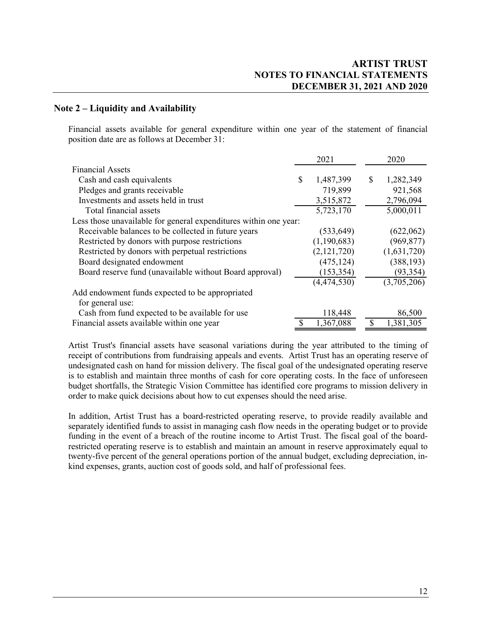### **Note 2 – Liquidity and Availability**

Financial assets available for general expenditure within one year of the statement of financial position date are as follows at December 31:

|                                                                  |    | 2021        | 2020            |
|------------------------------------------------------------------|----|-------------|-----------------|
| <b>Financial Assets</b>                                          |    |             |                 |
| Cash and cash equivalents                                        | \$ | 1,487,399   | \$<br>1,282,349 |
| Pledges and grants receivable                                    |    | 719,899     | 921,568         |
| Investments and assets held in trust                             |    | 3,515,872   | 2,796,094       |
| Total financial assets                                           |    | 5,723,170   | 5,000,011       |
| Less those unavailable for general expenditures within one year: |    |             |                 |
| Receivable balances to be collected in future years              |    | (533, 649)  | (622,062)       |
| Restricted by donors with purpose restrictions                   |    | (1,190,683) | (969, 877)      |
| Restricted by donors with perpetual restrictions                 |    | (2,121,720) | (1,631,720)     |
| Board designated endowment                                       |    | (475, 124)  | (388, 193)      |
| Board reserve fund (unavailable without Board approval)          |    | (153, 354)  | (93, 354)       |
|                                                                  |    | (4,474,530) | (3,705,206)     |
| Add endowment funds expected to be appropriated                  |    |             |                 |
| for general use:                                                 |    |             |                 |
| Cash from fund expected to be available for use                  |    | 118,448     | 86,500          |
| Financial assets available within one year                       | S  | 1,367,088   | \$<br>1,381,305 |

Artist Trust's financial assets have seasonal variations during the year attributed to the timing of receipt of contributions from fundraising appeals and events. Artist Trust has an operating reserve of undesignated cash on hand for mission delivery. The fiscal goal of the undesignated operating reserve is to establish and maintain three months of cash for core operating costs. In the face of unforeseen budget shortfalls, the Strategic Vision Committee has identified core programs to mission delivery in order to make quick decisions about how to cut expenses should the need arise.

In addition, Artist Trust has a board-restricted operating reserve, to provide readily available and separately identified funds to assist in managing cash flow needs in the operating budget or to provide funding in the event of a breach of the routine income to Artist Trust. The fiscal goal of the boardrestricted operating reserve is to establish and maintain an amount in reserve approximately equal to twenty-five percent of the general operations portion of the annual budget, excluding depreciation, inkind expenses, grants, auction cost of goods sold, and half of professional fees.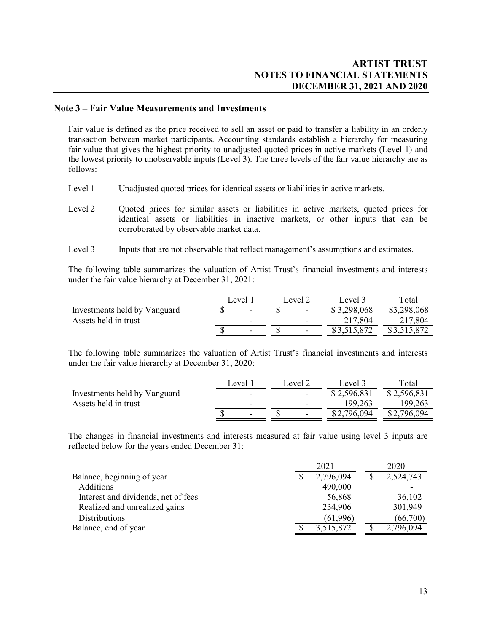### **Note 3 – Fair Value Measurements and Investments**

Fair value is defined as the price received to sell an asset or paid to transfer a liability in an orderly transaction between market participants. Accounting standards establish a hierarchy for measuring fair value that gives the highest priority to unadjusted quoted prices in active markets (Level 1) and the lowest priority to unobservable inputs (Level 3). The three levels of the fair value hierarchy are as follows:

- Level 1 Unadjusted quoted prices for identical assets or liabilities in active markets.
- Level 2 Quoted prices for similar assets or liabilities in active markets, quoted prices for identical assets or liabilities in inactive markets, or other inputs that can be corroborated by observable market data.
- Level 3 Inputs that are not observable that reflect management's assumptions and estimates.

The following table summarizes the valuation of Artist Trust's financial investments and interests under the fair value hierarchy at December 31, 2021:

|   |         |                          | Level 3     | Total       |
|---|---------|--------------------------|-------------|-------------|
|   |         | $\overline{\phantom{0}}$ | \$3,298,068 | \$3,298,068 |
|   |         | $\overline{\phantom{0}}$ | 217,804     | 217,804     |
| - |         | $\overline{\phantom{0}}$ |             | \$3,515,872 |
|   | Level 1 |                          | Level 2     |             |

The following table summarizes the valuation of Artist Trust's financial investments and interests under the fair value hierarchy at December 31, 2020:

|                              | Level 1 |  | Level 2                  | Level 3     | Total       |
|------------------------------|---------|--|--------------------------|-------------|-------------|
| Investments held by Vanguard |         |  | $\overline{\phantom{0}}$ | \$2,596,831 | \$2,596,831 |
| Assets held in trust         |         |  | $\overline{\phantom{a}}$ | 199.263     | 199,263     |
|                              |         |  | $\overline{\phantom{0}}$ | \$2,796,094 | \$2,796,094 |

The changes in financial investments and interests measured at fair value using level 3 inputs are reflected below for the years ended December 31:

|                                     | 2021            | 2020      |
|-------------------------------------|-----------------|-----------|
| Balance, beginning of year          | \$<br>2,796,094 | 2,524,743 |
| <b>Additions</b>                    | 490,000         |           |
| Interest and dividends, net of fees | 56,868          | 36,102    |
| Realized and unrealized gains       | 234,906         | 301,949   |
| <b>Distributions</b>                | (61,996)        | (66,700)  |
| Balance, end of year                | 3,515,872       | 2,796,094 |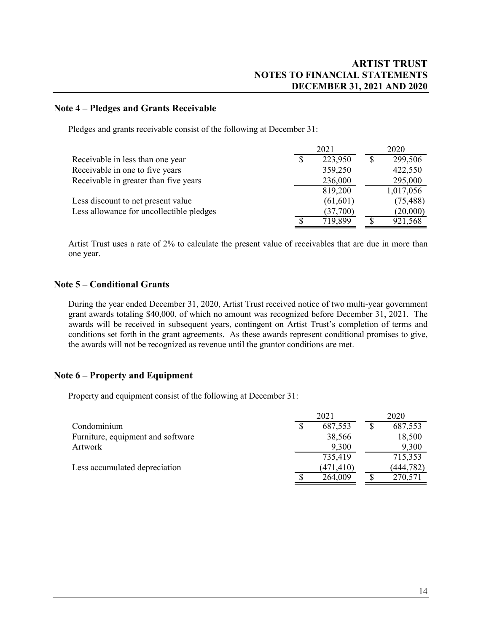### **Note 4 – Pledges and Grants Receivable**

Pledges and grants receivable consist of the following at December 31:

|                                          |                           | 2021      | 2020      |
|------------------------------------------|---------------------------|-----------|-----------|
| Receivable in less than one year         | S                         | 223,950   | 299,506   |
| Receivable in one to five years          |                           | 359,250   | 422,550   |
| Receivable in greater than five years    |                           | 236,000   | 295,000   |
|                                          |                           | 819,200   | 1,017,056 |
| Less discount to net present value       |                           | (61, 601) | (75, 488) |
| Less allowance for uncollectible pledges |                           | (37,700)  | (20,000)  |
|                                          | $\boldsymbol{\mathsf{S}}$ | 719,899   | 921,568   |

Artist Trust uses a rate of 2% to calculate the present value of receivables that are due in more than one year.

#### **Note 5 – Conditional Grants**

During the year ended December 31, 2020, Artist Trust received notice of two multi-year government grant awards totaling \$40,000, of which no amount was recognized before December 31, 2021. The awards will be received in subsequent years, contingent on Artist Trust's completion of terms and conditions set forth in the grant agreements. As these awards represent conditional promises to give, the awards will not be recognized as revenue until the grantor conditions are met.

#### **Note 6 – Property and Equipment**

Property and equipment consist of the following at December 31:

|                                   | 2021       | 2020       |
|-----------------------------------|------------|------------|
| Condominium                       | 687,553    | 687,553    |
| Furniture, equipment and software | 38,566     | 18,500     |
| Artwork                           | 9,300      | 9,300      |
|                                   | 735,419    | 715,353    |
| Less accumulated depreciation     | (471, 410) | (444, 782) |
|                                   | 264,009    | 270,571    |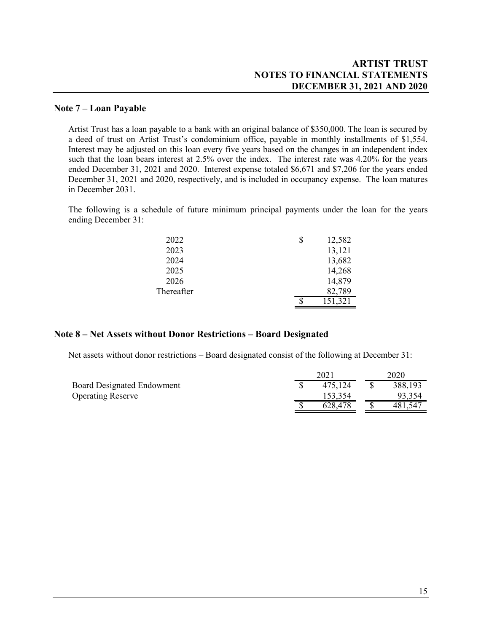### **ARTIST TRUST NOTES TO FINANCIAL STATEMENTS DECEMBER 31, 2021 AND 2020**

#### **Note 7 – Loan Payable**

Artist Trust has a loan payable to a bank with an original balance of \$350,000. The loan is secured by a deed of trust on Artist Trust's condominium office, payable in monthly installments of \$1,554. Interest may be adjusted on this loan every five years based on the changes in an independent index such that the loan bears interest at 2.5% over the index. The interest rate was 4.20% for the years ended December 31, 2021 and 2020. Interest expense totaled \$6,671 and \$7,206 for the years ended December 31, 2021 and 2020, respectively, and is included in occupancy expense. The loan matures in December 2031.

The following is a schedule of future minimum principal payments under the loan for the years ending December 31:

| 2022       | \$ | 12,582  |
|------------|----|---------|
| 2023       |    | 13,121  |
| 2024       |    | 13,682  |
| 2025       |    | 14,268  |
| 2026       |    | 14,879  |
| Thereafter |    | 82,789  |
|            | S  | 151,321 |

#### **Note 8 – Net Assets without Donor Restrictions – Board Designated**

Net assets without donor restrictions – Board designated consist of the following at December 31:

|                                   |  | 2020    |         |
|-----------------------------------|--|---------|---------|
| <b>Board Designated Endowment</b> |  | 475.124 | 388,193 |
| <b>Operating Reserve</b>          |  | 153,354 | 93.354  |
|                                   |  | 628.478 | 481,547 |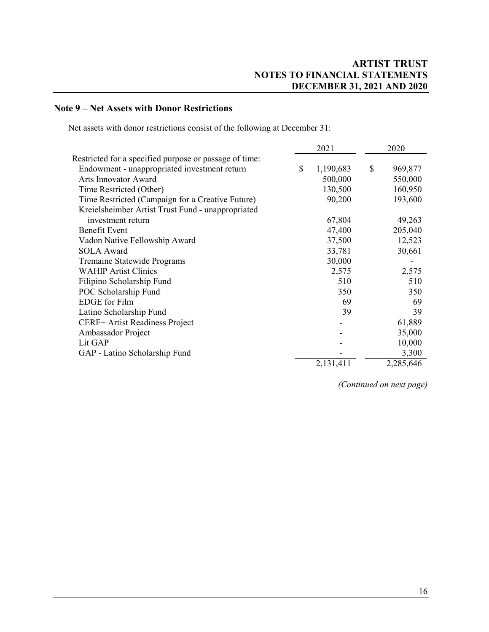## **Note 9 – Net Assets with Donor Restrictions**

Net assets with donor restrictions consist of the following at December 31:

|                                                        |    | 2021      |    | 2020      |  |
|--------------------------------------------------------|----|-----------|----|-----------|--|
| Restricted for a specified purpose or passage of time: |    |           |    |           |  |
| Endowment - unappropriated investment return           | \$ | 1,190,683 | \$ | 969,877   |  |
| Arts Innovator Award                                   |    | 500,000   |    | 550,000   |  |
| Time Restricted (Other)                                |    | 130,500   |    | 160,950   |  |
| Time Restricted (Campaign for a Creative Future)       |    | 90,200    |    | 193,600   |  |
| Kreielsheimber Artist Trust Fund - unappropriated      |    |           |    |           |  |
| investment return                                      |    | 67,804    |    | 49,263    |  |
| <b>Benefit Event</b>                                   |    | 47,400    |    | 205,040   |  |
| Vadon Native Fellowship Award                          |    | 37,500    |    | 12,523    |  |
| <b>SOLA Award</b>                                      |    | 33,781    |    | 30,661    |  |
| Tremaine Statewide Programs                            |    | 30,000    |    |           |  |
| <b>WAHIP Artist Clinics</b>                            |    | 2,575     |    | 2,575     |  |
| Filipino Scholarship Fund                              |    | 510       |    | 510       |  |
| POC Scholarship Fund                                   |    | 350       |    | 350       |  |
| <b>EDGE</b> for Film                                   |    | 69        |    | 69        |  |
| Latino Scholarship Fund                                |    | 39        |    | 39        |  |
| CERF+ Artist Readiness Project                         |    |           |    | 61,889    |  |
| Ambassador Project                                     |    |           |    | 35,000    |  |
| Lit GAP                                                |    |           |    | 10,000    |  |
| GAP - Latino Scholarship Fund                          |    |           |    | 3,300     |  |
|                                                        |    | 2,131,411 |    | 2,285,646 |  |

*(Continued on next page)*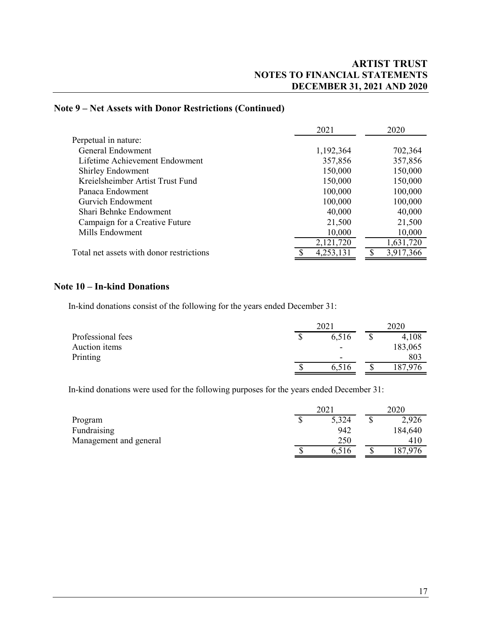### **Note 9 – Net Assets with Donor Restrictions (Continued)**

|                                          | 2021      | 2020      |
|------------------------------------------|-----------|-----------|
| Perpetual in nature:                     |           |           |
| <b>General Endowment</b>                 | 1,192,364 | 702,364   |
| Lifetime Achievement Endowment           | 357,856   | 357,856   |
| <b>Shirley Endowment</b>                 | 150,000   | 150,000   |
| Kreielsheimber Artist Trust Fund         | 150,000   | 150,000   |
| Panaca Endowment                         | 100,000   | 100,000   |
| Gurvich Endowment                        | 100,000   | 100,000   |
| Shari Behnke Endowment                   | 40,000    | 40,000    |
| Campaign for a Creative Future           | 21,500    | 21,500    |
| Mills Endowment                          | 10,000    | 10,000    |
|                                          | 2,121,720 | 1,631,720 |
| Total net assets with donor restrictions | 4,253,131 | 3,917,366 |

### **Note 10 – In-kind Donations**

In-kind donations consist of the following for the years ended December 31:

|                   | 2021                     |  | 2020    |  |
|-------------------|--------------------------|--|---------|--|
| Professional fees | 6,516                    |  | 4,108   |  |
| Auction items     | $\overline{\phantom{0}}$ |  | 183,065 |  |
| Printing          | $\overline{\phantom{0}}$ |  | 803     |  |
|                   | 6,516                    |  | 187,976 |  |

In-kind donations were used for the following purposes for the years ended December 31:

|                        |    | 2021  |  | 2020    |  |
|------------------------|----|-------|--|---------|--|
| Program                | Φ  | 5,324 |  | 2,926   |  |
| Fundraising            |    | 942   |  | 184,640 |  |
| Management and general |    | 250   |  | 410     |  |
|                        | \$ | 6,516 |  | 87,976  |  |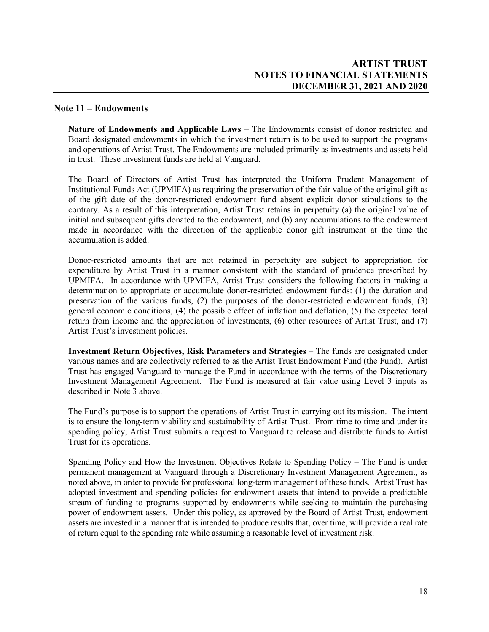### **Note 11 – Endowments**

**Nature of Endowments and Applicable Laws** – The Endowments consist of donor restricted and Board designated endowments in which the investment return is to be used to support the programs and operations of Artist Trust. The Endowments are included primarily as investments and assets held in trust. These investment funds are held at Vanguard.

The Board of Directors of Artist Trust has interpreted the Uniform Prudent Management of Institutional Funds Act (UPMIFA) as requiring the preservation of the fair value of the original gift as of the gift date of the donor-restricted endowment fund absent explicit donor stipulations to the contrary. As a result of this interpretation, Artist Trust retains in perpetuity (a) the original value of initial and subsequent gifts donated to the endowment, and (b) any accumulations to the endowment made in accordance with the direction of the applicable donor gift instrument at the time the accumulation is added.

Donor-restricted amounts that are not retained in perpetuity are subject to appropriation for expenditure by Artist Trust in a manner consistent with the standard of prudence prescribed by UPMIFA. In accordance with UPMIFA, Artist Trust considers the following factors in making a determination to appropriate or accumulate donor-restricted endowment funds: (1) the duration and preservation of the various funds, (2) the purposes of the donor-restricted endowment funds, (3) general economic conditions, (4) the possible effect of inflation and deflation, (5) the expected total return from income and the appreciation of investments, (6) other resources of Artist Trust, and (7) Artist Trust's investment policies.

**Investment Return Objectives, Risk Parameters and Strategies** – The funds are designated under various names and are collectively referred to as the Artist Trust Endowment Fund (the Fund). Artist Trust has engaged Vanguard to manage the Fund in accordance with the terms of the Discretionary Investment Management Agreement. The Fund is measured at fair value using Level 3 inputs as described in Note 3 above.

The Fund's purpose is to support the operations of Artist Trust in carrying out its mission. The intent is to ensure the long-term viability and sustainability of Artist Trust. From time to time and under its spending policy, Artist Trust submits a request to Vanguard to release and distribute funds to Artist Trust for its operations.

Spending Policy and How the Investment Objectives Relate to Spending Policy – The Fund is under permanent management at Vanguard through a Discretionary Investment Management Agreement, as noted above, in order to provide for professional long-term management of these funds. Artist Trust has adopted investment and spending policies for endowment assets that intend to provide a predictable stream of funding to programs supported by endowments while seeking to maintain the purchasing power of endowment assets. Under this policy, as approved by the Board of Artist Trust, endowment assets are invested in a manner that is intended to produce results that, over time, will provide a real rate of return equal to the spending rate while assuming a reasonable level of investment risk.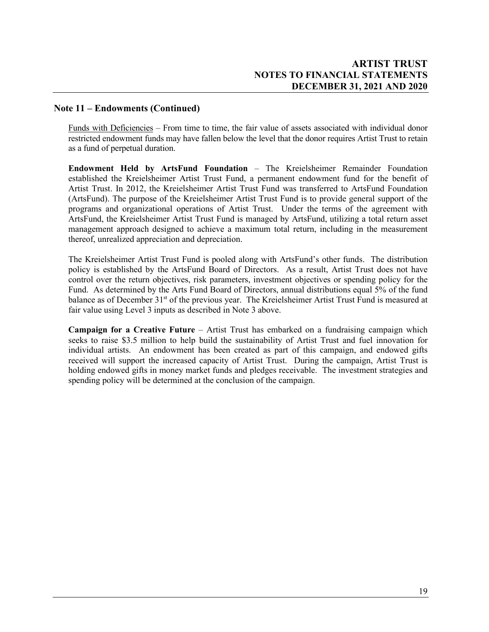### **Note 11 – Endowments (Continued)**

Funds with Deficiencies – From time to time, the fair value of assets associated with individual donor restricted endowment funds may have fallen below the level that the donor requires Artist Trust to retain as a fund of perpetual duration.

**Endowment Held by ArtsFund Foundation** – The Kreielsheimer Remainder Foundation established the Kreielsheimer Artist Trust Fund, a permanent endowment fund for the benefit of Artist Trust. In 2012, the Kreielsheimer Artist Trust Fund was transferred to ArtsFund Foundation (ArtsFund). The purpose of the Kreielsheimer Artist Trust Fund is to provide general support of the programs and organizational operations of Artist Trust. Under the terms of the agreement with ArtsFund, the Kreielsheimer Artist Trust Fund is managed by ArtsFund, utilizing a total return asset management approach designed to achieve a maximum total return, including in the measurement thereof, unrealized appreciation and depreciation.

The Kreielsheimer Artist Trust Fund is pooled along with ArtsFund's other funds. The distribution policy is established by the ArtsFund Board of Directors. As a result, Artist Trust does not have control over the return objectives, risk parameters, investment objectives or spending policy for the Fund. As determined by the Arts Fund Board of Directors, annual distributions equal 5% of the fund balance as of December 31<sup>st</sup> of the previous year. The Kreielsheimer Artist Trust Fund is measured at fair value using Level 3 inputs as described in Note 3 above.

**Campaign for a Creative Future** – Artist Trust has embarked on a fundraising campaign which seeks to raise \$3.5 million to help build the sustainability of Artist Trust and fuel innovation for individual artists. An endowment has been created as part of this campaign, and endowed gifts received will support the increased capacity of Artist Trust. During the campaign, Artist Trust is holding endowed gifts in money market funds and pledges receivable. The investment strategies and spending policy will be determined at the conclusion of the campaign.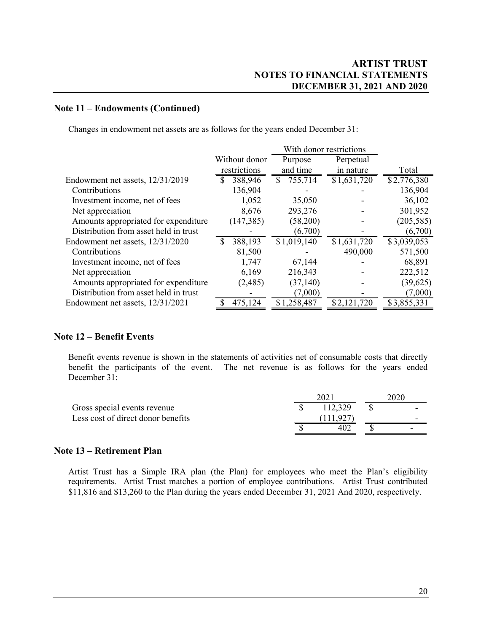#### **Note 11 – Endowments (Continued)**

Changes in endowment net assets are as follows for the years ended December 31:

|                                       |               | With donor restrictions |             |             |
|---------------------------------------|---------------|-------------------------|-------------|-------------|
|                                       | Without donor | Purpose                 | Perpetual   |             |
|                                       | restrictions  | and time                | in nature   | Total       |
| Endowment net assets, 12/31/2019      | 388,946       | 755,714<br>S            | \$1,631,720 | \$2,776,380 |
| Contributions                         | 136,904       |                         |             | 136,904     |
| Investment income, net of fees        | 1,052         | 35,050                  |             | 36,102      |
| Net appreciation                      | 8,676         | 293,276                 |             | 301,952     |
| Amounts appropriated for expenditure  | (147, 385)    | (58,200)                |             | (205, 585)  |
| Distribution from asset held in trust |               | (6,700)                 |             | (6,700)     |
| Endowment net assets, 12/31/2020      | 388,193<br>S  | \$1,019,140             | \$1,631,720 | \$3,039,053 |
| Contributions                         | 81,500        |                         | 490,000     | 571,500     |
| Investment income, net of fees        | 1,747         | 67,144                  |             | 68,891      |
| Net appreciation                      | 6,169         | 216,343                 |             | 222,512     |
| Amounts appropriated for expenditure  | (2,485)       | (37, 140)               |             | (39, 625)   |
| Distribution from asset held in trust |               | (7,000)                 |             | (7,000)     |
| Endowment net assets, 12/31/2021      | 475,124       | \$1,258,487             | \$2,121,720 | \$3,855,331 |

#### **Note 12 – Benefit Events**

Benefit events revenue is shown in the statements of activities net of consumable costs that directly benefit the participants of the event. The net revenue is as follows for the years ended December 31:

|                                    | 202 |         |  |   |  |
|------------------------------------|-----|---------|--|---|--|
| Gross special events revenue       |     | 112,329 |  |   |  |
| Less cost of direct donor benefits |     |         |  | - |  |
|                                    |     | 402     |  |   |  |

#### **Note 13 – Retirement Plan**

Artist Trust has a Simple IRA plan (the Plan) for employees who meet the Plan's eligibility requirements. Artist Trust matches a portion of employee contributions. Artist Trust contributed \$11,816 and \$13,260 to the Plan during the years ended December 31, 2021 And 2020, respectively.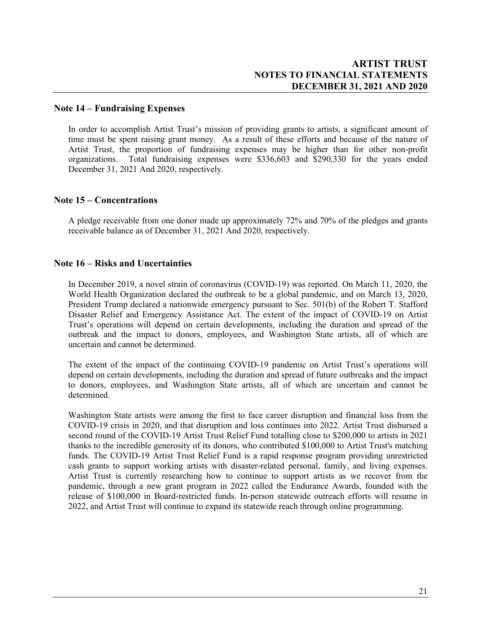### **Note 14 – Fundraising Expenses**

In order to accomplish Artist Trust's mission of providing grants to artists, a significant amount of time must be spent raising grant money. As a result of these efforts and because of the nature of Artist Trust, the proportion of fundraising expenses may be higher than for other non-profit organizations. Total fundraising expenses were \$336,603 and \$290,330 for the years ended December 31, 2021 And 2020, respectively.

### **Note 15 – Concentrations**

A pledge receivable from one donor made up approximately 72% and 70% of the pledges and grants receivable balance as of December 31, 2021 And 2020, respectively.

### **Note 16 – Risks and Uncertainties**

In December 2019, a novel strain of coronavirus (COVID-19) was reported. On March 11, 2020, the World Health Organization declared the outbreak to be a global pandemic, and on March 13, 2020, President Trump declared a nationwide emergency pursuant to Sec. 501(b) of the Robert T. Stafford Disaster Relief and Emergency Assistance Act. The extent of the impact of COVID-19 on Artist Trust's operations will depend on certain developments, including the duration and spread of the outbreak and the impact to donors, employees, and Washington State artists, all of which are uncertain and cannot be determined.

The extent of the impact of the continuing COVID-19 pandemic on Artist Trust's operations will depend on certain developments, including the duration and spread of future outbreaks and the impact to donors, employees, and Washington State artists, all of which are uncertain and cannot be determined.

Washington State artists were among the first to face career disruption and financial loss from the COVID-19 crisis in 2020, and that disruption and loss continues into 2022. Artist Trust disbursed a second round of the COVID-19 Artist Trust Relief Fund totalling close to \$200,000 to artists in 2021 thanks to the incredible generosity of its donors, who contributed \$100,000 to Artist Trust's matching funds. The COVID-19 Artist Trust Relief Fund is a rapid response program providing unrestricted cash grants to support working artists with disaster-related personal, family, and living expenses. Artist Trust is currently researching how to continue to support artists as we recover from the pandemic, through a new grant program in 2022 called the Endurance Awards, founded with the release of \$100,000 in Board-restricted funds. In-person statewide outreach efforts will resume in 2022, and Artist Trust will continue to expand its statewide reach through online programming.